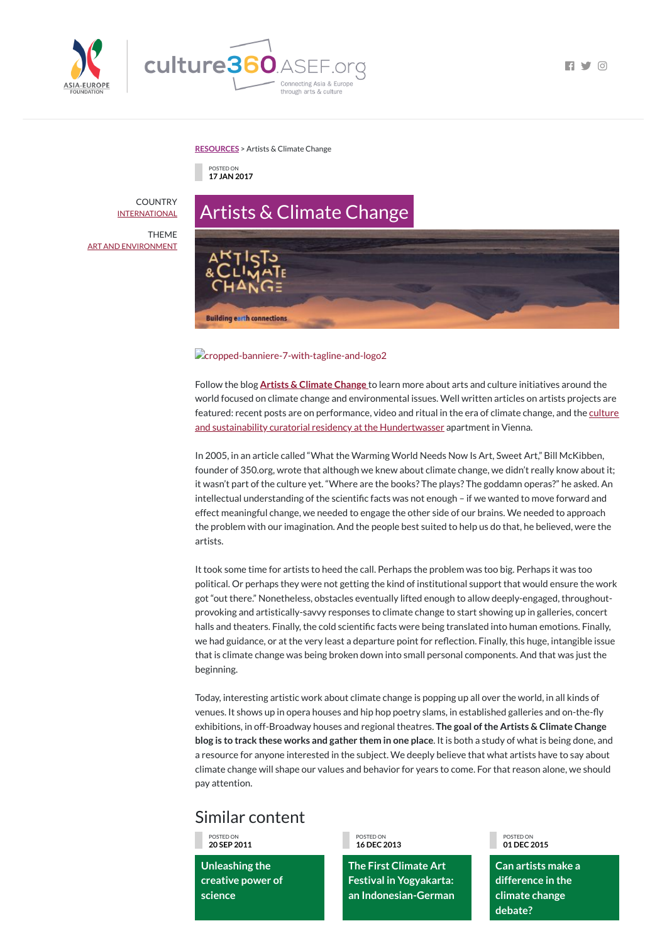



 $\blacksquare$   $\blacksquare$   $\blacksquare$   $\blacksquare$   $\blacksquare$   $\blacksquare$   $\blacksquare$   $\blacksquare$   $\blacksquare$   $\blacksquare$   $\blacksquare$   $\blacksquare$   $\blacksquare$   $\blacksquare$   $\blacksquare$   $\blacksquare$   $\blacksquare$   $\blacksquare$   $\blacksquare$   $\blacksquare$   $\blacksquare$   $\blacksquare$   $\blacksquare$   $\blacksquare$   $\blacksquare$   $\blacksquare$   $\blacksquare$   $\blacksquare$   $\blacksquare$   $\blacksquare$   $\blacksquare$   $\blacks$ 

#### **[RESOURCES](https://culture360.asef.org/resources/)** > Artists & Climate Change

# Artists & Climate Change **Building earth connections**

### **Cropped-banniere-7-with-tagline-and-logo2**

## Similar content

POSTED ON **17 JAN 2017**

**COUNTRY [INTERNATIONAL](https://culture360.asef.org/countries/international/)** 

> Follow the blog **Artists & [Climate](https://artistsandclimatechange.com/) Change** to learn more about arts and culture initiatives around the world focused on climate change and environmental issues. Well written articles on artists projects are featured: recent posts are on performance, video and ritual in the era of climate change, and the culture and sustainability curatorial residency at the [Hundertwasser](https://artistsandclimatechange.com/2017/01/09/in-residence-at-the-former-apartment-of-artistactivist-friedensreich-hundertwassser/) apartment in Vienna.

> In 2005, in an article called "What the Warming World Needs Now Is Art, Sweet Art," Bill McKibben, founder of 350.org, wrote that although we knew about climate change, we didn't really know about it; it wasn't part of the culture yet. "Where are the books? The plays? The goddamn operas?" he asked. An intellectual understanding of the scientific facts was not enough - if we wanted to move forward and effect meaningful change, we needed to engage the other side of our brains. We needed to approach the problem with our imagination. And the people best suited to help us do that, he believed, were the artists.

> It took some time for artists to heed the call. Perhaps the problem was too big. Perhaps it was too political. Or perhaps they were not getting the kind of institutional support that would ensure the work got "out there." Nonetheless, obstacles eventually lifted enough to allow deeply-engaged, throughoutprovoking and artistically-savvy responses to climate change to start showing up in galleries, concert halls and theaters. Finally, the cold scientific facts were being translated into human emotions. Finally, we had guidance, or at the very least a departure point for reflection. Finally, this huge, intangible issue that is climate change was being broken down into small personal components. And that was just the beginning.

Today, interesting artistic work about climate change is popping up all over the world, in all kinds of venues. It shows up in opera houses and hip hop poetry slams, in established galleries and on-the-fly exhibitions, in off-Broadway houses and regional theatres. **The goal ofthe Artists & Climate Change blog is to track these works and gather them in one place**. It is both a study of what is being done, and a resource for anyone interested in the subject. We deeply believe that what artists have to say about climate change will shape our values and behavior for years to come. For that reason alone, we should pay attention.

POSTED ON **20 SEP 2011 Unleashing the creative power of science** POSTED ON **16 DEC 2013 The First Climate Art Festival in Yogyakarta: an Indonesian-German** POSTED ON **01 DEC 2015 Can artists make a difference in the climate change debate?**

THEME ART AND [ENVIRONMENT](https://culture360.asef.org/themes/art-and-environment/)